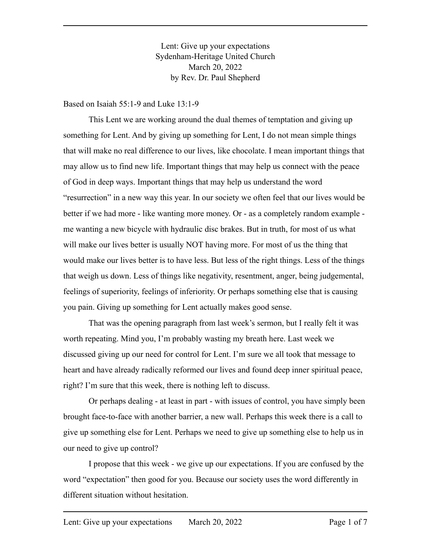Lent: Give up your expectations Sydenham-Heritage United Church March 20, 2022 by Rev. Dr. Paul Shepherd

Based on Isaiah 55:1-9 and Luke 13:1-9

This Lent we are working around the dual themes of temptation and giving up something for Lent. And by giving up something for Lent, I do not mean simple things that will make no real difference to our lives, like chocolate. I mean important things that may allow us to find new life. Important things that may help us connect with the peace of God in deep ways. Important things that may help us understand the word "resurrection" in a new way this year. In our society we often feel that our lives would be better if we had more - like wanting more money. Or - as a completely random example me wanting a new bicycle with hydraulic disc brakes. But in truth, for most of us what will make our lives better is usually NOT having more. For most of us the thing that would make our lives better is to have less. But less of the right things. Less of the things that weigh us down. Less of things like negativity, resentment, anger, being judgemental, feelings of superiority, feelings of inferiority. Or perhaps something else that is causing you pain. Giving up something for Lent actually makes good sense.

That was the opening paragraph from last week's sermon, but I really felt it was worth repeating. Mind you, I'm probably wasting my breath here. Last week we discussed giving up our need for control for Lent. I'm sure we all took that message to heart and have already radically reformed our lives and found deep inner spiritual peace, right? I'm sure that this week, there is nothing left to discuss.

Or perhaps dealing - at least in part - with issues of control, you have simply been brought face-to-face with another barrier, a new wall. Perhaps this week there is a call to give up something else for Lent. Perhaps we need to give up something else to help us in our need to give up control?

I propose that this week - we give up our expectations. If you are confused by the word "expectation" then good for you. Because our society uses the word differently in different situation without hesitation.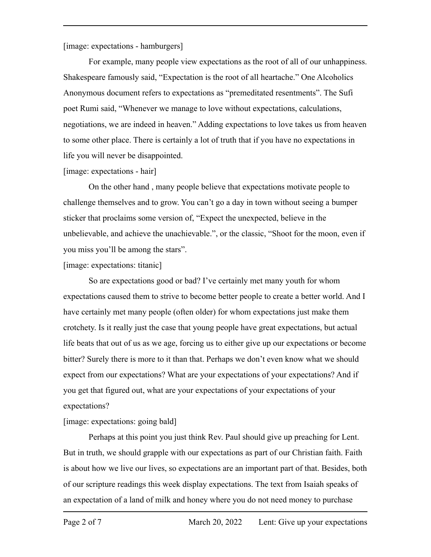[image: expectations - hamburgers]

For example, many people view expectations as the root of all of our unhappiness. Shakespeare famously said, "Expectation is the root of all heartache." One Alcoholics Anonymous document refers to expectations as "premeditated resentments". The Sufi poet Rumi said, "Whenever we manage to love without expectations, calculations, negotiations, we are indeed in heaven." Adding expectations to love takes us from heaven to some other place. There is certainly a lot of truth that if you have no expectations in life you will never be disappointed.

#### [image: expectations - hair]

On the other hand , many people believe that expectations motivate people to challenge themselves and to grow. You can't go a day in town without seeing a bumper sticker that proclaims some version of, "Expect the unexpected, believe in the unbelievable, and achieve the unachievable.", or the classic, "Shoot for the moon, even if you miss you'll be among the stars".

[image: expectations: titanic]

So are expectations good or bad? I've certainly met many youth for whom expectations caused them to strive to become better people to create a better world. And I have certainly met many people (often older) for whom expectations just make them crotchety. Is it really just the case that young people have great expectations, but actual life beats that out of us as we age, forcing us to either give up our expectations or become bitter? Surely there is more to it than that. Perhaps we don't even know what we should expect from our expectations? What are your expectations of your expectations? And if you get that figured out, what are your expectations of your expectations of your expectations?

[image: expectations: going bald]

Perhaps at this point you just think Rev. Paul should give up preaching for Lent. But in truth, we should grapple with our expectations as part of our Christian faith. Faith is about how we live our lives, so expectations are an important part of that. Besides, both of our scripture readings this week display expectations. The text from Isaiah speaks of an expectation of a land of milk and honey where you do not need money to purchase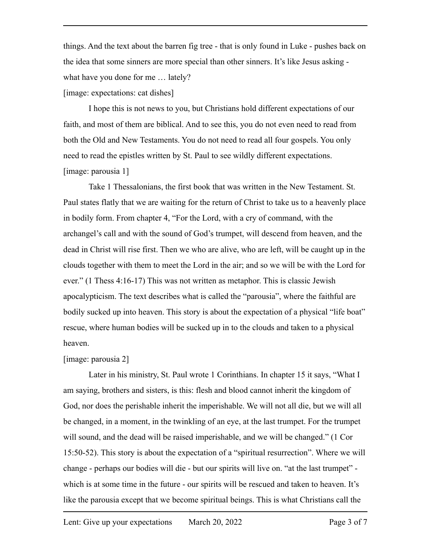things. And the text about the barren fig tree - that is only found in Luke - pushes back on the idea that some sinners are more special than other sinners. It's like Jesus asking what have you done for me … lately?

[image: expectations: cat dishes]

I hope this is not news to you, but Christians hold different expectations of our faith, and most of them are biblical. And to see this, you do not even need to read from both the Old and New Testaments. You do not need to read all four gospels. You only need to read the epistles written by St. Paul to see wildly different expectations. [image: parousia 1]

Take 1 Thessalonians, the first book that was written in the New Testament. St. Paul states flatly that we are waiting for the return of Christ to take us to a heavenly place in bodily form. From chapter 4, "For the Lord, with a cry of command, with the archangel's call and with the sound of God's trumpet, will descend from heaven, and the dead in Christ will rise first. Then we who are alive, who are left, will be caught up in the clouds together with them to meet the Lord in the air; and so we will be with the Lord for ever." (1 Thess 4:16-17) This was not written as metaphor. This is classic Jewish apocalypticism. The text describes what is called the "parousia", where the faithful are bodily sucked up into heaven. This story is about the expectation of a physical "life boat" rescue, where human bodies will be sucked up in to the clouds and taken to a physical heaven.

## [image: parousia 2]

Later in his ministry, St. Paul wrote 1 Corinthians. In chapter 15 it says, "What I am saying, brothers and sisters, is this: flesh and blood cannot inherit the kingdom of God, nor does the perishable inherit the imperishable. We will not all die, but we will all be changed, in a moment, in the twinkling of an eye, at the last trumpet. For the trumpet will sound, and the dead will be raised imperishable, and we will be changed." (1 Cor 15:50-52). This story is about the expectation of a "spiritual resurrection". Where we will change - perhaps our bodies will die - but our spirits will live on. "at the last trumpet" which is at some time in the future - our spirits will be rescued and taken to heaven. It's like the parousia except that we become spiritual beings. This is what Christians call the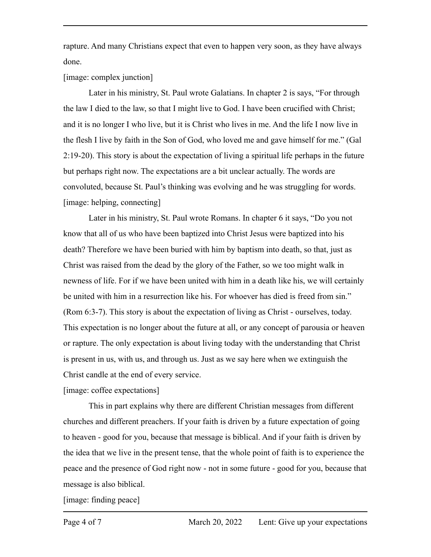rapture. And many Christians expect that even to happen very soon, as they have always done.

[image: complex junction]

Later in his ministry, St. Paul wrote Galatians. In chapter 2 is says, "For through the law I died to the law, so that I might live to God. I have been crucified with Christ; and it is no longer I who live, but it is Christ who lives in me. And the life I now live in the flesh I live by faith in the Son of God, who loved me and gave himself for me." (Gal 2:19-20). This story is about the expectation of living a spiritual life perhaps in the future but perhaps right now. The expectations are a bit unclear actually. The words are convoluted, because St. Paul's thinking was evolving and he was struggling for words. [image: helping, connecting]

Later in his ministry, St. Paul wrote Romans. In chapter 6 it says, "Do you not know that all of us who have been baptized into Christ Jesus were baptized into his death? Therefore we have been buried with him by baptism into death, so that, just as Christ was raised from the dead by the glory of the Father, so we too might walk in newness of life. For if we have been united with him in a death like his, we will certainly be united with him in a resurrection like his. For whoever has died is freed from sin." (Rom 6:3-7). This story is about the expectation of living as Christ - ourselves, today. This expectation is no longer about the future at all, or any concept of parousia or heaven or rapture. The only expectation is about living today with the understanding that Christ is present in us, with us, and through us. Just as we say here when we extinguish the Christ candle at the end of every service.

[image: coffee expectations]

This in part explains why there are different Christian messages from different churches and different preachers. If your faith is driven by a future expectation of going to heaven - good for you, because that message is biblical. And if your faith is driven by the idea that we live in the present tense, that the whole point of faith is to experience the peace and the presence of God right now - not in some future - good for you, because that message is also biblical.

[image: finding peace]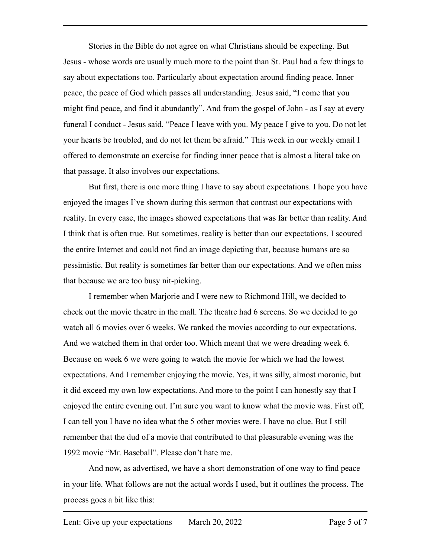Stories in the Bible do not agree on what Christians should be expecting. But Jesus - whose words are usually much more to the point than St. Paul had a few things to say about expectations too. Particularly about expectation around finding peace. Inner peace, the peace of God which passes all understanding. Jesus said, "I come that you might find peace, and find it abundantly". And from the gospel of John - as I say at every funeral I conduct - Jesus said, "Peace I leave with you. My peace I give to you. Do not let your hearts be troubled, and do not let them be afraid." This week in our weekly email I offered to demonstrate an exercise for finding inner peace that is almost a literal take on that passage. It also involves our expectations.

But first, there is one more thing I have to say about expectations. I hope you have enjoyed the images I've shown during this sermon that contrast our expectations with reality. In every case, the images showed expectations that was far better than reality. And I think that is often true. But sometimes, reality is better than our expectations. I scoured the entire Internet and could not find an image depicting that, because humans are so pessimistic. But reality is sometimes far better than our expectations. And we often miss that because we are too busy nit-picking.

I remember when Marjorie and I were new to Richmond Hill, we decided to check out the movie theatre in the mall. The theatre had 6 screens. So we decided to go watch all 6 movies over 6 weeks. We ranked the movies according to our expectations. And we watched them in that order too. Which meant that we were dreading week 6. Because on week 6 we were going to watch the movie for which we had the lowest expectations. And I remember enjoying the movie. Yes, it was silly, almost moronic, but it did exceed my own low expectations. And more to the point I can honestly say that I enjoyed the entire evening out. I'm sure you want to know what the movie was. First off, I can tell you I have no idea what the 5 other movies were. I have no clue. But I still remember that the dud of a movie that contributed to that pleasurable evening was the 1992 movie "Mr. Baseball". Please don't hate me.

And now, as advertised, we have a short demonstration of one way to find peace in your life. What follows are not the actual words I used, but it outlines the process. The process goes a bit like this: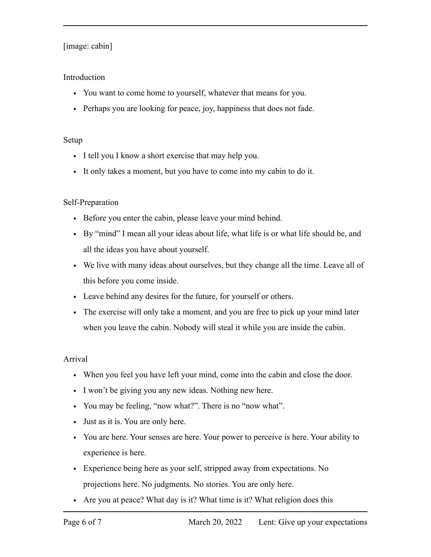# [image: cabin]

## Introduction

- You want to come home to yourself, whatever that means for you.
- Perhaps you are looking for peace, joy, happiness that does not fade.

#### Setup

- I tell you I know a short exercise that may help you.
- It only takes a moment, but you have to come into my cabin to do it.

## Self-Preparation

- Before you enter the cabin, please leave your mind behind.
- By "mind" I mean all your ideas about life, what life is or what life should be, and all the ideas you have about yourself.
- We live with many ideas about ourselves, but they change all the time. Leave all of this before you come inside.
- Leave behind any desires for the future, for yourself or others.
- The exercise will only take a moment, and you are free to pick up your mind later when you leave the cabin. Nobody will steal it while you are inside the cabin.

## Arrival

- When you feel you have left your mind, come into the cabin and close the door.
- I won't be giving you any new ideas. Nothing new here.
- You may be feeling, "now what?". There is no "now what".
- Just as it is. You are only here.
- You are here. Your senses are here. Your power to perceive is here. Your ability to experience is here.
- Experience being here as your self, stripped away from expectations. No projections here. No judgments. No stories. You are only here.
- Are you at peace? What day is it? What time is it? What religion does this